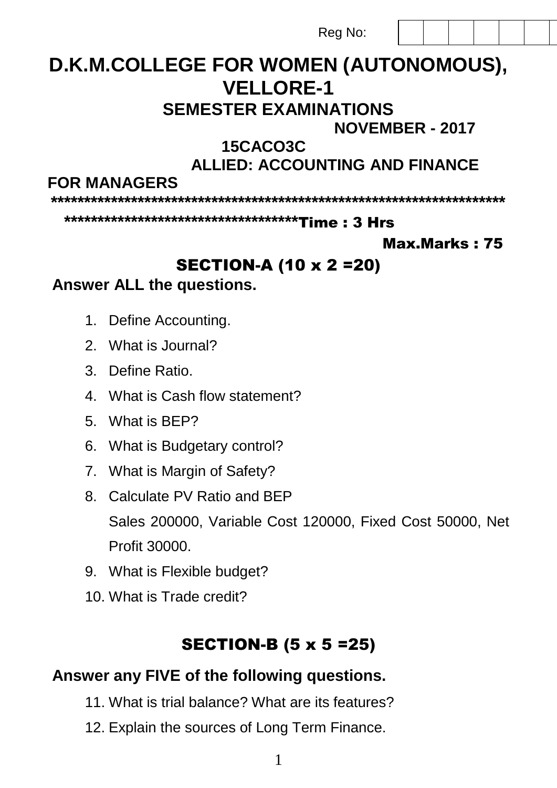Rea No:

# D.K.M.COLLEGE FOR WOMEN (AUTONOMOUS), **VFIIORF-1**

## **SEMESTER EXAMINATIONS**

**NOVEMBER - 2017** 

## 15CACO3C

**ALLIED: ACCOUNTING AND FINANCE** 

**FOR MANAGERS** 

#### **Max.Marks: 75**

## **SECTION-A (10 x 2 = 20)**

#### Answer ALL the questions.

- 1. Define Accounting.
- 2 What is Journal?
- 3. Define Ratio.
- 4 What is Cash flow statement?
- 5 What is RFP?
- 6. What is Budgetary control?
- 7. What is Margin of Safety?
- 8. Calculate PV Ratio and BEP Sales 200000, Variable Cost 120000, Fixed Cost 50000, Net Profit 30000
- 9. What is Flexible budget?
- 10. What is Trade credit?

## **SECTION-B (5 x 5 = 25)**

### Answer any FIVE of the following questions.

- 11. What is trial balance? What are its features?
- 12. Explain the sources of Long Term Finance.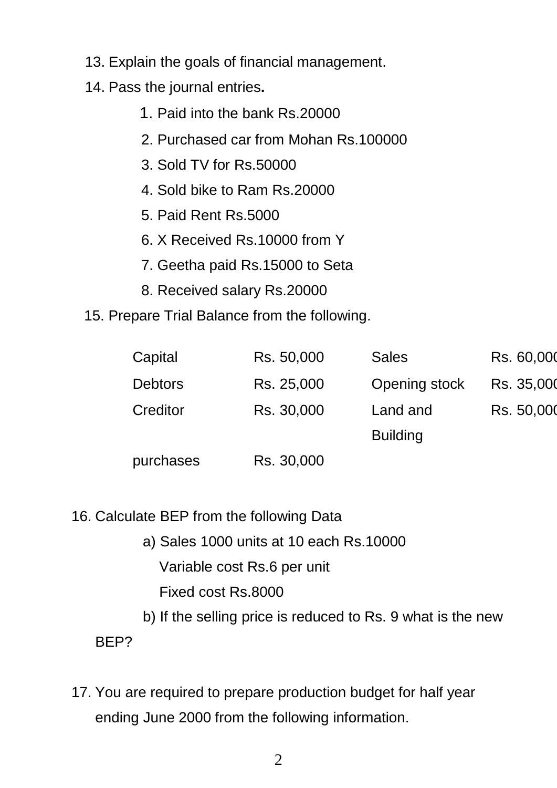- 13. Explain the goals of financial management.
- 14. Pass the journal entries**.**
	- 1. Paid into the bank Rs.20000
	- 2. Purchased car from Mohan Rs.100000
	- 3. Sold TV for Rs.50000
	- 4. Sold bike to Ram Rs.20000
	- 5. Paid Rent Rs.5000
	- 6. X Received Rs.10000 from Y
	- 7. Geetha paid Rs.15000 to Seta
	- 8. Received salary Rs.20000
- 15. Prepare Trial Balance from the following.

| Capital        | Rs. 50,000 | <b>Sales</b>    | Rs. 60,000 |
|----------------|------------|-----------------|------------|
| <b>Debtors</b> | Rs. 25,000 | Opening stock   | Rs. 35,000 |
| Creditor       | Rs. 30,000 | Land and        | Rs. 50,000 |
|                |            | <b>Building</b> |            |
| purchases      | Rs. 30,000 |                 |            |

- 16. Calculate BEP from the following Data
	- a) Sales 1000 units at 10 each Rs.10000 Variable cost Rs.6 per unit Fixed cost Rs.8000
	- b) If the selling price is reduced to Rs. 9 what is the new

BEP?

17. You are required to prepare production budget for half year ending June 2000 from the following information.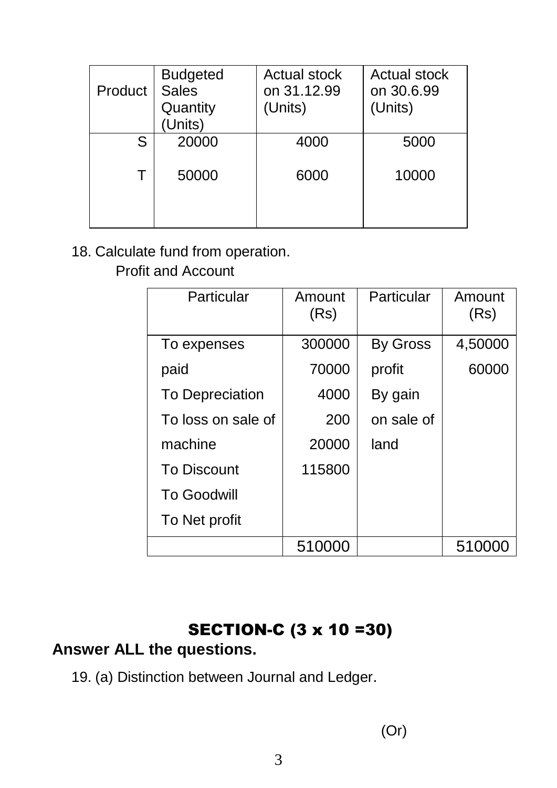| Product | <b>Budgeted</b><br><b>Sales</b><br>Quantity<br>(Units) | <b>Actual stock</b><br>on 31.12.99<br>(Units) | <b>Actual stock</b><br>on 30.6.99<br>(Units) |
|---------|--------------------------------------------------------|-----------------------------------------------|----------------------------------------------|
| S       | 20000                                                  | 4000                                          | 5000                                         |
| Τ       | 50000                                                  | 6000                                          | 10000                                        |

#### 18. Calculate fund from operation.

Profit and Account

| Particular             | Amount<br>(Rs) | Particular      | Amount<br>(Rs) |
|------------------------|----------------|-----------------|----------------|
| To expenses            | 300000         | <b>By Gross</b> | 4,50000        |
| paid                   | 70000          | profit          | 60000          |
| <b>To Depreciation</b> | 4000           | By gain         |                |
| To loss on sale of     | 200            | on sale of      |                |
| machine                | 20000          | land            |                |
| <b>To Discount</b>     | 115800         |                 |                |
| <b>To Goodwill</b>     |                |                 |                |
| To Net profit          |                |                 |                |
|                        | 510000         |                 | 51000          |

## SECTION-C (3 x 10 =30)

#### **Answer ALL the questions.**

19. (a) Distinction between Journal and Ledger.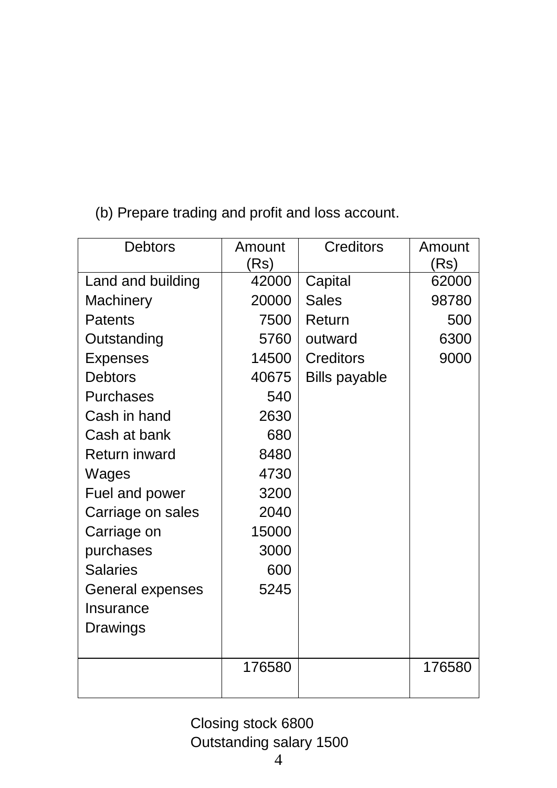(b) Prepare trading and profit and loss account.

| <b>Debtors</b>    | Amount<br>(Rs) | <b>Creditors</b>     | Amount<br>(Rs) |
|-------------------|----------------|----------------------|----------------|
| Land and building | 42000          | Capital              | 62000          |
| Machinery         | 20000          | <b>Sales</b>         | 98780          |
| Patents           | 7500           | Return               | 500            |
| Outstanding       | 5760           | outward              | 6300           |
| <b>Expenses</b>   | 14500          | <b>Creditors</b>     | 9000           |
| <b>Debtors</b>    | 40675          | <b>Bills payable</b> |                |
| Purchases         | 540            |                      |                |
| Cash in hand      | 2630           |                      |                |
| Cash at bank      | 680            |                      |                |
| Return inward     | 8480           |                      |                |
| Wages             | 4730           |                      |                |
| Fuel and power    | 3200           |                      |                |
| Carriage on sales | 2040           |                      |                |
| Carriage on       | 15000          |                      |                |
| purchases         | 3000           |                      |                |
| <b>Salaries</b>   | 600            |                      |                |
| General expenses  | 5245           |                      |                |
| Insurance         |                |                      |                |
| Drawings          |                |                      |                |
|                   |                |                      |                |
|                   | 176580         |                      | 176580         |
|                   |                |                      |                |

Closing stock 6800 Outstanding salary 1500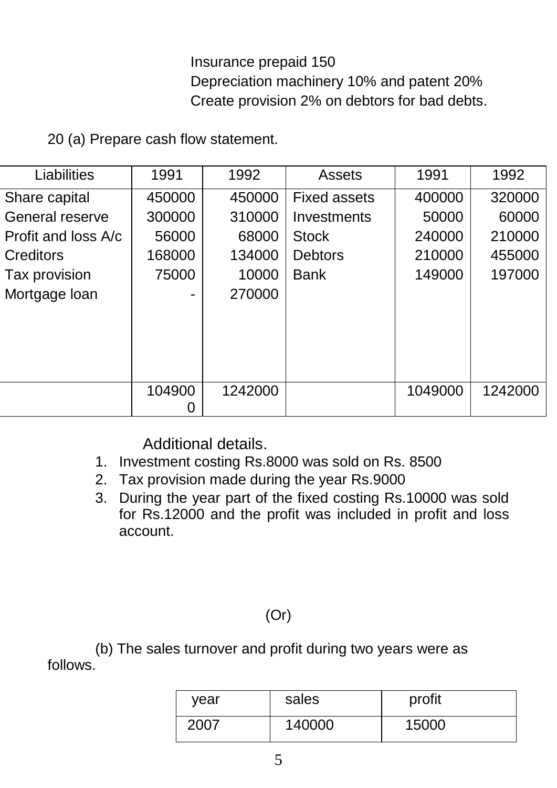Insurance prepaid 150 Depreciation machinery 10% and patent 20% Create provision 2% on debtors for bad debts.

20 (a) Prepare cash flow statement.

| Liabilities         | 1991   | 1992    | <b>Assets</b>       | 1991    | 1992    |
|---------------------|--------|---------|---------------------|---------|---------|
| Share capital       | 450000 | 450000  | <b>Fixed assets</b> | 400000  | 320000  |
| General reserve     | 300000 | 310000  | Investments         | 50000   | 60000   |
| Profit and loss A/c | 56000  | 68000   | <b>Stock</b>        | 240000  | 210000  |
| Creditors           | 168000 | 134000  | <b>Debtors</b>      | 210000  | 455000  |
| Tax provision       | 75000  | 10000   | <b>Bank</b>         | 149000  | 197000  |
| Mortgage loan       |        | 270000  |                     |         |         |
|                     |        |         |                     |         |         |
|                     |        |         |                     |         |         |
|                     |        |         |                     |         |         |
|                     |        |         |                     |         |         |
|                     | 104900 | 1242000 |                     | 1049000 | 1242000 |
|                     |        |         |                     |         |         |

Additional details.

- 1. Investment costing Rs.8000 was sold on Rs. 8500
- 2. Tax provision made during the year Rs.9000
- 3. During the year part of the fixed costing Rs.10000 was sold for Rs.12000 and the profit was included in profit and loss account.

(Or)

(b) The sales turnover and profit during two years were as follows.

| vear | sales  | profit |
|------|--------|--------|
| 2007 | 140000 | 15000  |